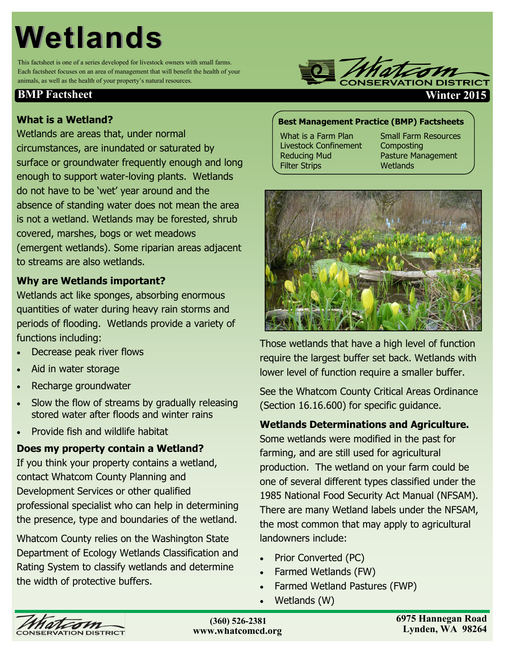# **Wetlands**

This factsheet is one of a series developed for livestock owners with small farms. Each factsheet focuses on an area of management that will benefit the health of your animals, as well as the health of your property's natural resources.

## **BMP Factsheet Winter 2015**

# **What is a Wetland?**

Wetlands are areas that, under normal circumstances, are inundated or saturated by surface or groundwater frequently enough and long enough to support water-loving plants. Wetlands do not have to be 'wet' year around and the absence of standing water does not mean the area is not a wetland. Wetlands may be forested, shrub covered, marshes, bogs or wet meadows (emergent wetlands). Some riparian areas adjacent to streams are also wetlands.

# **Why are Wetlands important?**

Wetlands act like sponges, absorbing enormous quantities of water during heavy rain storms and periods of flooding. Wetlands provide a variety of functions including:

- Decrease peak river flows
- Aid in water storage
- Recharge groundwater
- Slow the flow of streams by gradually releasing stored water after floods and winter rains
- Provide fish and wildlife habitat

# **Does my property contain a Wetland?**

If you think your property contains a wetland, contact Whatcom County Planning and Development Services or other qualified professional specialist who can help in determining the presence, type and boundaries of the wetland.

Whatcom County relies on the Washington State Department of Ecology Wetlands Classification and Rating System to classify wetlands and determine the width of protective buffers.

# **Best Management Practice (BMP) Factsheets**

What is a Farm Plan Livestock Confinement Reducing Mud Filter Strips

Small Farm Resources **Composting** Pasture Management **Wetlands** 



Those wetlands that have a high level of function require the largest buffer set back. Wetlands with lower level of function require a smaller buffer.

See the Whatcom County Critical Areas Ordinance (Section 16.16.600) for specific guidance.

#### **Wetlands Determinations and Agriculture.**

Some wetlands were modified in the past for farming, and are still used for agricultural production. The wetland on your farm could be one of several different types classified under the 1985 National Food Security Act Manual (NFSAM). There are many Wetland labels under the NFSAM, the most common that may apply to agricultural landowners include:

- Prior Converted (PC)
- Farmed Wetlands (FW)
- Farmed Wetland Pastures (FWP)
- Wetlands (W)



**(360)354-2035 (360) 526-2381www.whatcomcd.org**